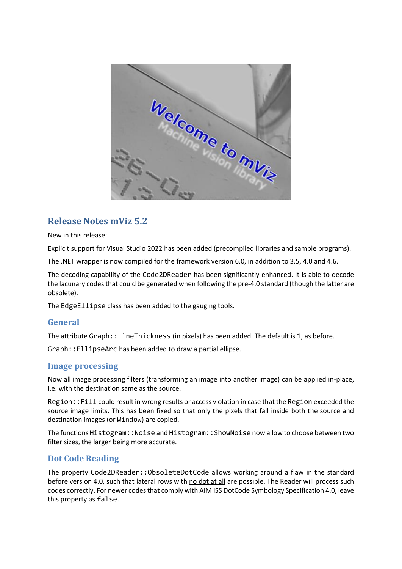

# **Release Notes mViz 5.2**

New in this release:

Explicit support for Visual Studio 2022 has been added (precompiled libraries and sample programs).

The .NET wrapper is now compiled for the framework version 6.0, in addition to 3.5, 4.0 and 4.6.

The decoding capability of the Code2DReader has been significantly enhanced. It is able to decode the lacunary codes that could be generated when following the pre-4.0 standard (though the latter are obsolete).

The EdgeEllipse class has been added to the gauging tools.

# **General**

The attribute Graph::LineThickness (in pixels) has been added. The default is 1, as before.

Graph::EllipseArc has been added to draw a partial ellipse.

### **Image processing**

Now all image processing filters (transforming an image into another image) can be applied in-place, i.e. with the destination same as the source.

Region::Fill could result in wrong results or access violation in case that the Region exceeded the source image limits. This has been fixed so that only the pixels that fall inside both the source and destination images (or Window) are copied.

The functions Histogram::Noise and Histogram::ShowNoise now allow to choose between two filter sizes, the larger being more accurate.

# **Dot Code Reading**

The property Code2DReader::ObsoleteDotCode allows working around a flaw in the standard before version 4.0, such that lateral rows with no dot at all are possible. The Reader will process such codes correctly. For newer codes that comply with AIM ISS DotCode Symbology Specification 4.0, leave this property as false.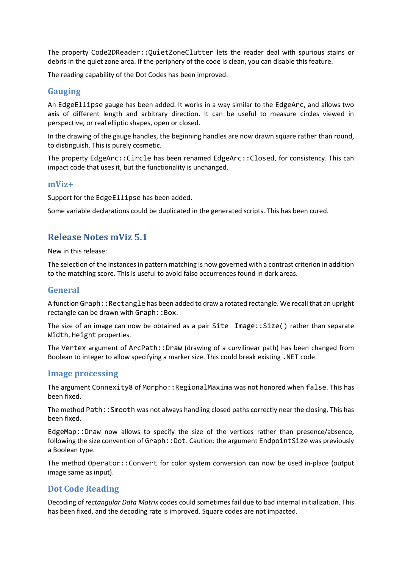The property Code2DReader::QuietZoneClutter lets the reader deal with spurious stains or debris in the quiet zone area. If the periphery of the code is clean, you can disable this feature.

The reading capability of the Dot Codes has been improved.

### **Gauging**

An EdgeEllipse gauge has been added. It works in a way similar to the EdgeArc, and allows two axis of different length and arbitrary direction. It can be useful to measure circles viewed in perspective, or real elliptic shapes, open or closed.

In the drawing of the gauge handles, the beginning handles are now drawn square rather than round, to distinguish. This is purely cosmetic.

The property EdgeArc::Circle has been renamed EdgeArc::Closed, for consistency. This can impact code that uses it, but the functionality is unchanged.

#### **mViz+**

Support for the EdgeEllipse has been added.

Some variable declarations could be duplicated in the generated scripts. This has been cured.

# **Release Notes mViz 5.1**

New in this release:

The selection of the instances in pattern matching is now governed with a contrast criterion in addition to the matching score. This is useful to avoid false occurrences found in dark areas.

### **General**

A function Graph:: Rectangle has been added to draw a rotated rectangle. We recall that an upright rectangle can be drawn with Graph: : Box.

The size of an image can now be obtained as a pair Site Image::Size() rather than separate Width, Height properties.

The Vertex argument of ArcPath::Draw (drawing of a curvilinear path) has been changed from Boolean to integer to allow specifying a marker size. This could break existing .NET code.

### **Image processing**

The argument Connexity8 of Morpho::RegionalMaxima was not honored when false. This has been fixed.

The method Path::Smooth was not always handling closed paths correctly near the closing. This has been fixed.

EdgeMap::Draw now allows to specify the size of the vertices rather than presence/absence, following the size convention of Graph: : Dot. Caution: the argument EndpointSize was previously a Boolean type.

The method Operator::Convert for color system conversion can now be used in-place (output image same as input).

# **Dot Code Reading**

Decoding of *rectangular Data Matrix* codes could sometimes fail due to bad internal initialization. This has been fixed, and the decoding rate is improved. Square codes are not impacted.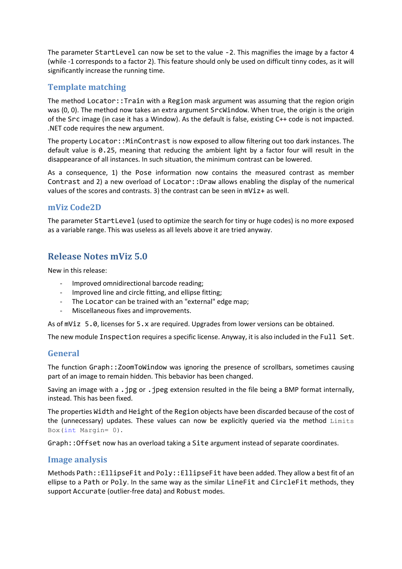The parameter StartLevel can now be set to the value -2. This magnifies the image by a factor 4 (while -1 corresponds to a factor 2). This feature should only be used on difficult tinny codes, as it will significantly increase the running time.

# **Template matching**

The method Locator::Train with a Region mask argument was assuming that the region origin was (0, 0). The method now takes an extra argument SrcWindow. When true, the origin is the origin of the Src image (in case it has a Window). As the default is false, existing C++ code is not impacted. .NET code requires the new argument.

The property Locator::MinContrast is now exposed to allow filtering out too dark instances. The default value is 0.25, meaning that reducing the ambient light by a factor four will result in the disappearance of all instances. In such situation, the minimum contrast can be lowered.

As a consequence, 1) the Pose information now contains the measured contrast as member Contrast and 2) a new overload of Locator::Draw allows enabling the display of the numerical values of the scores and contrasts. 3) the contrast can be seen in mViz+ as well.

# **mViz Code2D**

The parameter StartLevel (used to optimize the search for tiny or huge codes) is no more exposed as a variable range. This was useless as all levels above it are tried anyway.

# **Release Notes mViz 5.0**

New in this release:

- Improved omnidirectional barcode reading;
- Improved line and circle fitting, and ellipse fitting;
- The Locator can be trained with an "external" edge map;
- Miscellaneous fixes and improvements.

As of mViz 5.0, licenses for 5.x are required. Upgrades from lower versions can be obtained.

The new module Inspection requires a specific license. Anyway, it is also included in the Full Set.

# **General**

The function Graph::ZoomToWindow was ignoring the presence of scrollbars, sometimes causing part of an image to remain hidden. This bebavior has been changed.

Saving an image with a . jpg or . jpeg extension resulted in the file being a BMP format internally, instead. This has been fixed.

The properties Width and Height of the Region objects have been discarded because of the cost of the (unnecessary) updates. These values can now be explicitly queried via the method Limits Box(int Margin= 0).

Graph::Offset now has an overload taking a Site argument instead of separate coordinates.

### **Image analysis**

Methods Path::EllipseFit and Poly::EllipseFit have been added. They allow a best fit of an ellipse to a Path or Poly. In the same way as the similar LineFit and CircleFit methods, they support Accurate (outlier-free data) and Robust modes.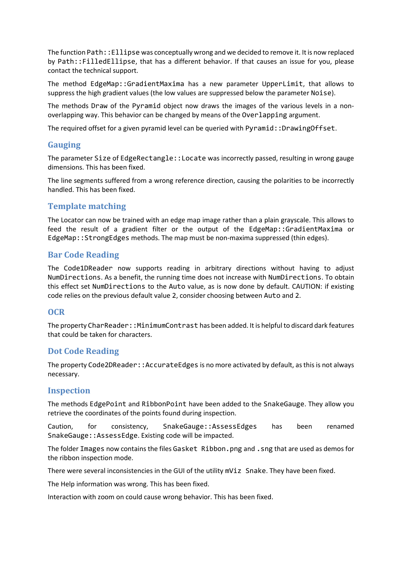The function Path::Ellipse was conceptually wrong and we decided to remove it. It is now replaced by Path::FilledEllipse, that has a different behavior. If that causes an issue for you, please contact the technical support.

The method EdgeMap::GradientMaxima has a new parameter UpperLimit, that allows to suppress the high gradient values (the low values are suppressed below the parameter Noise).

The methods Draw of the Pyramid object now draws the images of the various levels in a nonoverlapping way. This behavior can be changed by means of the Overlapping argument.

The required offset for a given pyramid level can be queried with Pyramid::DrawingOffset.

# **Gauging**

The parameter Size of EdgeRectangle::Locate was incorrectly passed, resulting in wrong gauge dimensions. This has been fixed.

The line segments suffered from a wrong reference direction, causing the polarities to be incorrectly handled. This has been fixed.

# **Template matching**

The Locator can now be trained with an edge map image rather than a plain grayscale. This allows to feed the result of a gradient filter or the output of the EdgeMap::GradientMaxima or EdgeMap::StrongEdges methods. The map must be non-maxima suppressed (thin edges).

# **Bar Code Reading**

The Code1DReader now supports reading in arbitrary directions without having to adjust NumDirections. As a benefit, the running time does not increase with NumDirections. To obtain this effect set NumDirections to the Auto value, as is now done by default. CAUTION: if existing code relies on the previous default value 2, consider choosing between Auto and 2.

# **OCR**

The property CharReader::MinimumContrast has been added. It is helpful to discard dark features that could be taken for characters.

# **Dot Code Reading**

The property Code2DReader::AccurateEdges is no more activated by default, as this is not always necessary.

### **Inspection**

The methods EdgePoint and RibbonPoint have been added to the SnakeGauge. They allow you retrieve the coordinates of the points found during inspection.

Caution, for consistency, SnakeGauge::AssessEdges has been renamed SnakeGauge::AssessEdge. Existing code will be impacted.

The folder Images now contains the files Gasket Ribbon.png and .sng that are used as demos for the ribbon inspection mode.

There were several inconsistencies in the GUI of the utility mViz Snake. They have been fixed.

The Help information was wrong. This has been fixed.

Interaction with zoom on could cause wrong behavior. This has been fixed.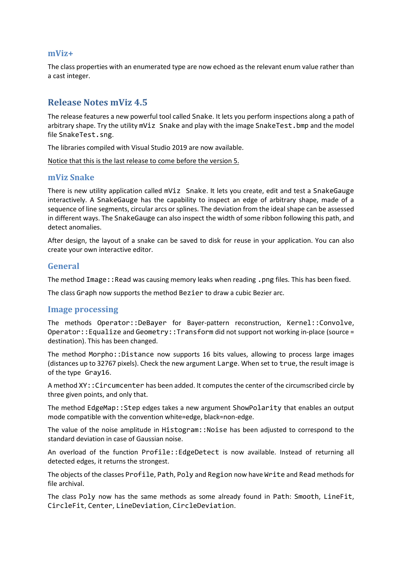#### **mViz+**

The class properties with an enumerated type are now echoed as the relevant enum value rather than a cast integer.

# **Release Notes mViz 4.5**

The release features a new powerful tool called Snake. It lets you perform inspections along a path of arbitrary shape. Try the utility mViz Snake and play with the image SnakeTest. bmp and the model file SnakeTest.sng.

The libraries compiled with Visual Studio 2019 are now available.

Notice that this is the last release to come before the version 5.

#### **mViz Snake**

There is new utility application called mViz Snake. It lets you create, edit and test a SnakeGauge interactively. A SnakeGauge has the capability to inspect an edge of arbitrary shape, made of a sequence of line segments, circular arcs or splines. The deviation from the ideal shape can be assessed in different ways. The SnakeGauge can also inspect the width of some ribbon following this path, and detect anomalies.

After design, the layout of a snake can be saved to disk for reuse in your application. You can also create your own interactive editor.

#### **General**

The method Image::Read was causing memory leaks when reading .png files. This has been fixed.

The class Graph now supports the method Bezier to draw a cubic Bezier arc.

#### **Image processing**

The methods Operator::DeBayer for Bayer-pattern reconstruction, Kernel::Convolve, Operator::Equalize and Geometry::Transform did not support not working in-place (source = destination). This has been changed.

The method Morpho::Distance now supports 16 bits values, allowing to process large images (distances up to 32767 pixels). Check the new argument Large. When set to true, the result image is of the type Gray16.

A method XY::Circumcenter has been added. It computes the center of the circumscribed circle by three given points, and only that.

The method EdgeMap::Step edges takes a new argument ShowPolarity that enables an output mode compatible with the convention white=edge, black=non-edge.

The value of the noise amplitude in Histogram::Noise has been adjusted to correspond to the standard deviation in case of Gaussian noise.

An overload of the function Profile::EdgeDetect is now available. Instead of returning all detected edges, it returns the strongest.

The objects of the classes Profile, Path, Poly and Region now have Write and Read methods for file archival.

The class Poly now has the same methods as some already found in Path: Smooth, LineFit, CircleFit, Center, LineDeviation, CircleDeviation.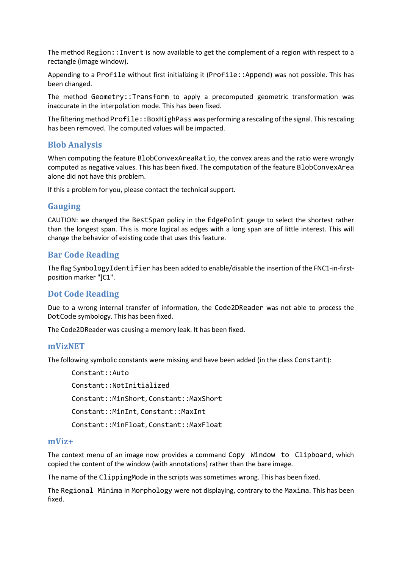The method Region::Invert is now available to get the complement of a region with respect to a rectangle (image window).

Appending to a Profile without first initializing it (Profile::Append) was not possible. This has been changed.

The method Geometry::Transform to apply a precomputed geometric transformation was inaccurate in the interpolation mode. This has been fixed.

The filtering method Profile::BoxHighPass was performing a rescaling of the signal. This rescaling has been removed. The computed values will be impacted.

# **Blob Analysis**

When computing the feature BlobConvexAreaRatio, the convex areas and the ratio were wrongly computed as negative values. This has been fixed. The computation of the feature BlobConvexArea alone did not have this problem.

If this a problem for you, please contact the technical support.

### **Gauging**

CAUTION: we changed the BestSpan policy in the EdgePoint gauge to select the shortest rather than the longest span. This is more logical as edges with a long span are of little interest. This will change the behavior of existing code that uses this feature.

### **Bar Code Reading**

The flag SymbologyIdentifier has been added to enable/disable the insertion of the FNC1-in-firstposition marker "]C1".

### **Dot Code Reading**

Due to a wrong internal transfer of information, the Code2DReader was not able to process the DotCode symbology. This has been fixed.

The Code2DReader was causing a memory leak. It has been fixed.

#### **mVizNET**

The following symbolic constants were missing and have been added (in the class Constant):

Constant::Auto Constant::NotInitialized Constant::MinShort, Constant::MaxShort Constant::MinInt, Constant::MaxInt Constant::MinFloat, Constant::MaxFloat

#### **mViz+**

The context menu of an image now provides a command Copy Window to Clipboard, which copied the content of the window (with annotations) rather than the bare image.

The name of the ClippingMode in the scripts was sometimes wrong. This has been fixed.

The Regional Minima in Morphology were not displaying, contrary to the Maxima. This has been fixed.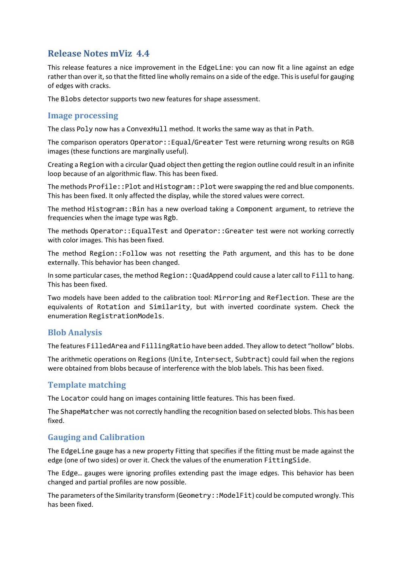# **Release Notes mViz 4.4**

This release features a nice improvement in the EdgeLine: you can now fit a line against an edge rather than over it, so that the fitted line wholly remains on a side of the edge. This is useful for gauging of edges with cracks.

The Blobs detector supports two new features for shape assessment.

### **Image processing**

The class Poly now has a ConvexHull method. It works the same way as that in Path.

The comparison operators Operator::Equal/Greater Test were returning wrong results on RGB images (these functions are marginally useful).

Creating a Region with a circular Quad object then getting the region outline could result in an infinite loop because of an algorithmic flaw. This has been fixed.

The methods Profile::Plot and Histogram::Plot were swapping the red and blue components. This has been fixed. It only affected the display, while the stored values were correct.

The method Histogram::Bin has a new overload taking a Component argument, to retrieve the frequencies when the image type was Rgb.

The methods Operator::EqualTest and Operator::Greater test were not working correctly with color images. This has been fixed.

The method Region::Follow was not resetting the Path argument, and this has to be done externally. This behavior has been changed.

In some particular cases, the method Region::QuadAppend could cause a later call to Fill to hang. This has been fixed.

Two models have been added to the calibration tool: Mirroring and Reflection. These are the equivalents of Rotation and Similarity, but with inverted coordinate system. Check the enumeration RegistrationModels.

# **Blob Analysis**

The features FilledArea and FillingRatio have been added. They allow to detect "hollow" blobs.

The arithmetic operations on Regions (Unite, Intersect, Subtract) could fail when the regions were obtained from blobs because of interference with the blob labels. This has been fixed.

### **Template matching**

The Locator could hang on images containing little features. This has been fixed.

The ShapeMatcher was not correctly handling the recognition based on selected blobs. This has been fixed.

### **Gauging and Calibration**

The EdgeLine gauge has a new property Fitting that specifies if the fitting must be made against the edge (one of two sides) or over it. Check the values of the enumeration FittingSide.

The Edge… gauges were ignoring profiles extending past the image edges. This behavior has been changed and partial profiles are now possible.

The parameters of the Similarity transform (Geometry::ModelFit) could be computed wrongly. This has been fixed.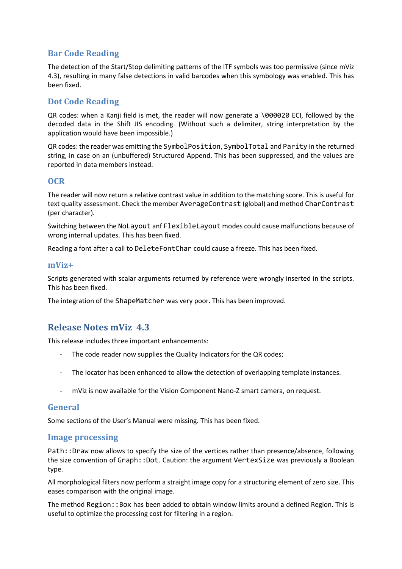# **Bar Code Reading**

The detection of the Start/Stop delimiting patterns of the ITF symbols was too permissive (since mViz 4.3), resulting in many false detections in valid barcodes when this symbology was enabled. This has been fixed.

# **Dot Code Reading**

QR codes: when a Kanji field is met, the reader will now generate a \000020 ECI, followed by the decoded data in the Shift JIS encoding. (Without such a delimiter, string interpretation by the application would have been impossible.)

QR codes: the reader was emitting the SymbolPosition, SymbolTotal and Parity in the returned string, in case on an (unbuffered) Structured Append. This has been suppressed, and the values are reported in data members instead.

### **OCR**

The reader will now return a relative contrast value in addition to the matching score. This is useful for text quality assessment. Check the member AverageContrast (global) and method CharContrast (per character).

Switching between the NoLayout anf FlexibleLayout modes could cause malfunctions because of wrong internal updates. This has been fixed.

Reading a font after a call to DeleteFontChar could cause a freeze. This has been fixed.

#### **mViz+**

Scripts generated with scalar arguments returned by reference were wrongly inserted in the scripts. This has been fixed.

The integration of the ShapeMatcher was very poor. This has been improved.

# **Release Notes mViz 4.3**

This release includes three important enhancements:

- The code reader now supplies the Quality Indicators for the QR codes;
- The locator has been enhanced to allow the detection of overlapping template instances.
- mViz is now available for the Vision Component Nano-Z smart camera, on request.

### **General**

Some sections of the User's Manual were missing. This has been fixed.

### **Image processing**

Path::Draw now allows to specify the size of the vertices rather than presence/absence, following the size convention of Graph::Dot. Caution: the argument VertexSize was previously a Boolean type.

All morphological filters now perform a straight image copy for a structuring element of zero size. This eases comparison with the original image.

The method Region::Box has been added to obtain window limits around a defined Region. This is useful to optimize the processing cost for filtering in a region.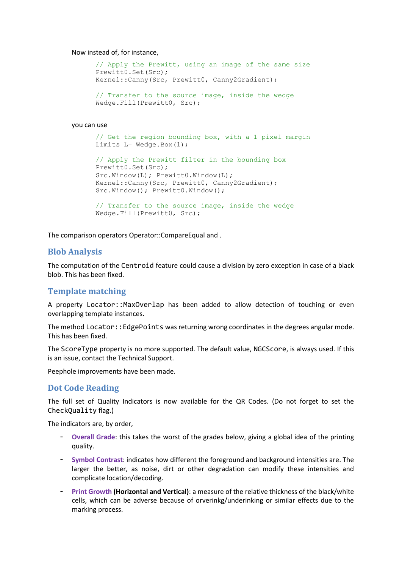#### Now instead of, for instance,

```
// Apply the Prewitt, using an image of the same size
Prewitt0.Set(Src);
Kernel::Canny(Src, Prewitt0, Canny2Gradient);
// Transfer to the source image, inside the wedge
Wedge.Fill(Prewitt0, Src);
```
#### you can use

```
// Get the region bounding box, with a 1 pixel margin
Limits L = Wedge.Box(1);
```

```
// Apply the Prewitt filter in the bounding box
Prewitt0.Set(Src);
Src.Window(L); Prewitt0.Window(L);
Kernel::Canny(Src, Prewitt0, Canny2Gradient);
Src.Window(); Prewitt0.Window();
```

```
// Transfer to the source image, inside the wedge
Wedge.Fill(Prewitt0, Src);
```
The comparison operators Operator::CompareEqual and .

#### **Blob Analysis**

The computation of the Centroid feature could cause a division by zero exception in case of a black blob. This has been fixed.

### **Template matching**

A property Locator::MaxOverlap has been added to allow detection of touching or even overlapping template instances.

The method Locator:: EdgePoints was returning wrong coordinates in the degrees angular mode. This has been fixed.

The ScoreType property is no more supported. The default value, NGCScore, is always used. If this is an issue, contact the Technical Support.

Peephole improvements have been made.

#### **Dot Code Reading**

The full set of Quality Indicators is now available for the QR Codes. (Do not forget to set the CheckQuality flag.)

The indicators are, by order,

- **Overall Grade**: this takes the worst of the grades below, giving a global idea of the printing quality.
- **Symbol Contrast**: indicates how different the foreground and background intensities are. The larger the better, as noise, dirt or other degradation can modify these intensities and complicate location/decoding.
- **Print Growth (Horizontal and Vertical)**: a measure of the relative thickness of the black/white cells, which can be adverse because of orverinkg/underinking or similar effects due to the marking process.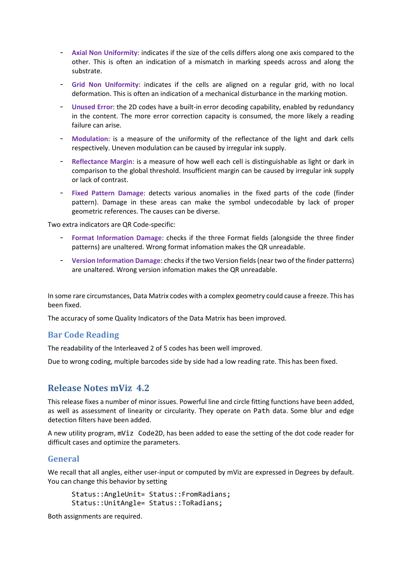- **Axial Non Uniformity**: indicates if the size of the cells differs along one axis compared to the other. This is often an indication of a mismatch in marking speeds across and along the substrate.
- **Grid Non Uniformity**: indicates if the cells are aligned on a regular grid, with no local deformation. This is often an indication of a mechanical disturbance in the marking motion.
- **Unused Error**: the 2D codes have a built-in error decoding capability, enabled by redundancy in the content. The more error correction capacity is consumed, the more likely a reading failure can arise.
- **Modulation**: is a measure of the uniformity of the reflectance of the light and dark cells respectively. Uneven modulation can be caused by irregular ink supply.
- **Reflectance Margin**: is a measure of how well each cell is distinguishable as light or dark in comparison to the global threshold. Insufficient margin can be caused by irregular ink supply or lack of contrast.
- **Fixed Pattern Damage**: detects various anomalies in the fixed parts of the code (finder pattern). Damage in these areas can make the symbol undecodable by lack of proper geometric references. The causes can be diverse.

Two extra indicators are QR Code-specific:

- **Format Information Damage**: checks if the three Format fields (alongside the three finder patterns) are unaltered. Wrong format infomation makes the QR unreadable.
- **Version Information Damage**: checks if the two Version fields (near two of the finder patterns) are unaltered. Wrong version infomation makes the QR unreadable.

In some rare circumstances, Data Matrix codes with a complex geometry could cause a freeze. This has been fixed.

The accuracy of some Quality Indicators of the Data Matrix has been improved.

### **Bar Code Reading**

The readability of the Interleaved 2 of 5 codes has been well improved.

Due to wrong coding, multiple barcodes side by side had a low reading rate. This has been fixed.

# **Release Notes mViz 4.2**

This release fixes a number of minor issues. Powerful line and circle fitting functions have been added, as well as assessment of linearity or circularity. They operate on Path data. Some blur and edge detection filters have been added.

A new utility program, mViz Code2D, has been added to ease the setting of the dot code reader for difficult cases and optimize the parameters.

#### **General**

We recall that all angles, either user-input or computed by mViz are expressed in Degrees by default. You can change this behavior by setting

```
Status::AngleUnit= Status::FromRadians;
Status::UnitAngle= Status::ToRadians;
```
Both assignments are required.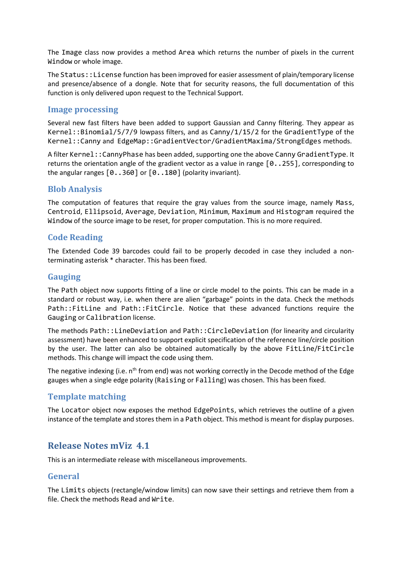The Image class now provides a method Area which returns the number of pixels in the current Window or whole image.

The Status::License function has been improved for easier assessment of plain/temporary license and presence/absence of a dongle. Note that for security reasons, the full documentation of this function is only delivered upon request to the Technical Support.

### **Image processing**

Several new fast filters have been added to support Gaussian and Canny filtering. They appear as Kernel::Binomial/5/7/9 lowpass filters, and as Canny/1/15/2 for the GradientType of the Kernel::Canny and EdgeMap::GradientVector/GradientMaxima/StrongEdges methods.

A filter Kernel::CannyPhase has been added, supporting one the above Canny GradientType. It returns the orientation angle of the gradient vector as a value in range  $[0..255]$ , corresponding to the angular ranges  $[0..360]$  or  $[0..180]$  (polarity invariant).

### **Blob Analysis**

The computation of features that require the gray values from the source image, namely Mass, Centroid, Ellipsoid, Average, Deviation, Minimum, Maximum and Histogram required the Window of the source image to be reset, for proper computation. This is no more required.

### **Code Reading**

The Extended Code 39 barcodes could fail to be properly decoded in case they included a nonterminating asterisk \* character. This has been fixed.

# **Gauging**

The Path object now supports fitting of a line or circle model to the points. This can be made in a standard or robust way, i.e. when there are alien "garbage" points in the data. Check the methods Path::FitLine and Path::FitCircle. Notice that these advanced functions require the Gauging or Calibration license.

The methods Path::LineDeviation and Path::CircleDeviation (for linearity and circularity assessment) have been enhanced to support explicit specification of the reference line/circle position by the user. The latter can also be obtained automatically by the above FitLine/FitCircle methods. This change will impact the code using them.

The negative indexing (i.e.  $n<sup>th</sup>$  from end) was not working correctly in the Decode method of the Edge gauges when a single edge polarity (Raising or Falling) was chosen. This has been fixed.

# **Template matching**

The Locator object now exposes the method EdgePoints, which retrieves the outline of a given instance of the template and stores them in a Path object. This method is meant for display purposes.

# **Release Notes mViz 4.1**

This is an intermediate release with miscellaneous improvements.

# **General**

The Limits objects (rectangle/window limits) can now save their settings and retrieve them from a file. Check the methods Read and Write.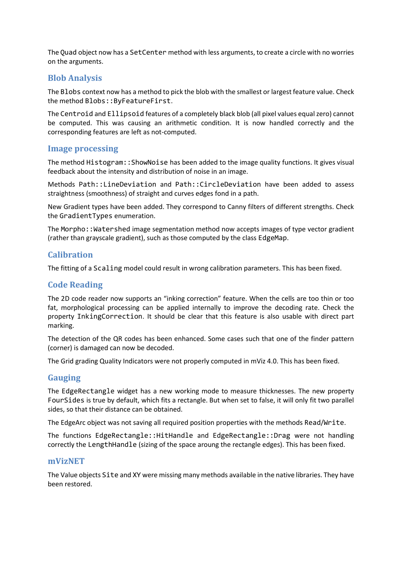The Quad object now has a SetCenter method with less arguments, to create a circle with no worries on the arguments.

### **Blob Analysis**

The Blobs context now has a method to pick the blob with the smallest or largest feature value. Check the method Blobs::ByFeatureFirst.

The Centroid and Ellipsoid features of a completely black blob (all pixel values equal zero) cannot be computed. This was causing an arithmetic condition. It is now handled correctly and the corresponding features are left as not-computed.

#### **Image processing**

The method Histogram::ShowNoise has been added to the image quality functions. It gives visual feedback about the intensity and distribution of noise in an image.

Methods Path::LineDeviation and Path::CircleDeviation have been added to assess straightness (smoothness) of straight and curves edges fond in a path.

New Gradient types have been added. They correspond to Canny filters of different strengths. Check the GradientTypes enumeration.

The Morpho:: Watershed image segmentation method now accepts images of type vector gradient (rather than grayscale gradient), such as those computed by the class EdgeMap.

### **Calibration**

The fitting of a Scaling model could result in wrong calibration parameters. This has been fixed.

### **Code Reading**

The 2D code reader now supports an "inking correction" feature. When the cells are too thin or too fat, morphological processing can be applied internally to improve the decoding rate. Check the property InkingCorrection. It should be clear that this feature is also usable with direct part marking.

The detection of the QR codes has been enhanced. Some cases such that one of the finder pattern (corner) is damaged can now be decoded.

The Grid grading Quality Indicators were not properly computed in mViz 4.0. This has been fixed.

### **Gauging**

The EdgeRectangle widget has a new working mode to measure thicknesses. The new property FourSides is true by default, which fits a rectangle. But when set to false, it will only fit two parallel sides, so that their distance can be obtained.

The EdgeArc object was not saving all required position properties with the methods Read/Write.

The functions EdgeRectangle::HitHandle and EdgeRectangle::Drag were not handling correctly the LengthHandle (sizing of the space aroung the rectangle edges). This has been fixed.

#### **mVizNET**

The Value objects Site and XY were missing many methods available in the native libraries. They have been restored.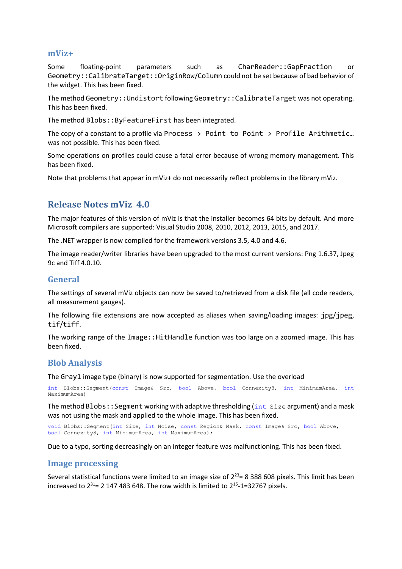#### **mViz+**

Some floating-point parameters such as CharReader::GapFraction or Geometry::CalibrateTarget::OriginRow/Column could not be set because of bad behavior of the widget. This has been fixed.

The method Geometry::Undistort following Geometry::CalibrateTarget was not operating. This has been fixed.

The method Blobs::ByFeatureFirst has been integrated.

The copy of a constant to a profile via Process  $\rightarrow$  Point to Point  $\rightarrow$  Profile Arithmetic... was not possible. This has been fixed.

Some operations on profiles could cause a fatal error because of wrong memory management. This has been fixed.

Note that problems that appear in mViz+ do not necessarily reflect problems in the library mViz.

# **Release Notes mViz 4.0**

The major features of this version of mViz is that the installer becomes 64 bits by default. And more Microsoft compilers are supported: Visual Studio 2008, 2010, 2012, 2013, 2015, and 2017.

The .NET wrapper is now compiled for the framework versions 3.5, 4.0 and 4.6.

The image reader/writer libraries have been upgraded to the most current versions: Png 1.6.37, Jpeg 9c and Tiff 4.0.10.

#### **General**

The settings of several mViz objects can now be saved to/retrieved from a disk file (all code readers, all measurement gauges).

The following file extensions are now accepted as aliases when saving/loading images: jpg/jpeg, tif/tiff.

The working range of the Image::HitHandle function was too large on a zoomed image. This has been fixed.

### **Blob Analysis**

The Gray1 image type (binary) is now supported for segmentation. Use the overload

int Blobs::Segment(const Image& Src, bool Above, bool Connexity8, int MinimumArea, int MaximumArea)

The method Blobs:: Segment working with adaptive thresholding ( $int$   $Size$  argument) and a mask was not using the mask and applied to the whole image. This has been fixed.

void Blobs::Segment(int Size, int Noise, const Region& Mask, const Image& Src, bool Above, bool Connexity8, int MinimumArea, int MaximumArea);

Due to a typo, sorting decreasingly on an integer feature was malfunctioning. This has been fixed.

#### **Image processing**

Several statistical functions were limited to an image size of  $2^{23}$  = 8 388 608 pixels. This limit has been increased to  $2^{31}$ = 2 147 483 648. The row width is limited to  $2^{15}$ -1=32767 pixels.